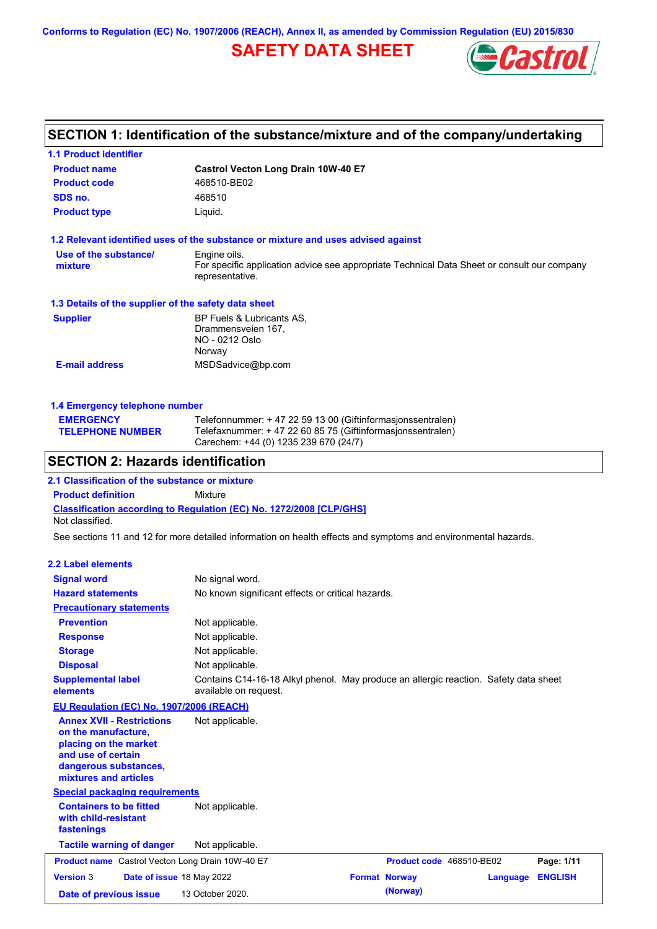**Conforms to Regulation (EC) No. 1907/2006 (REACH), Annex II, as amended by Commission Regulation (EU) 2015/830**

## **SAFETY DATA SHEET**



### **SECTION 1: Identification of the substance/mixture and of the company/undertaking**

| <b>1.1 Product identifier</b>                        |                                                                                                                |
|------------------------------------------------------|----------------------------------------------------------------------------------------------------------------|
| <b>Product name</b>                                  | Castrol Vecton Long Drain 10W-40 E7                                                                            |
| <b>Product code</b>                                  | 468510-BE02                                                                                                    |
| SDS no.                                              | 468510                                                                                                         |
| <b>Product type</b>                                  | Liquid.                                                                                                        |
|                                                      | 1.2 Relevant identified uses of the substance or mixture and uses advised against                              |
| Use of the substance/                                | Engine oils.                                                                                                   |
| mixture                                              | For specific application advice see appropriate Technical Data Sheet or consult our company<br>representative. |
| 1.3 Details of the supplier of the safety data sheet |                                                                                                                |
| <b>Supplier</b>                                      | BP Fuels & Lubricants AS,                                                                                      |
|                                                      | Drammensveien 167,                                                                                             |
|                                                      | NO - 0212 Oslo<br>Norway                                                                                       |
| <b>E-mail address</b>                                | MSDSadvice@bp.com                                                                                              |
|                                                      |                                                                                                                |
| 1.4 Emergency telephone number                       |                                                                                                                |
| <b>EMERGENCY</b>                                     | Telefonnummer: + 47 22 59 13 00 (Giftinformasjonssentralen)                                                    |
| <b>TELEPHONE NUMBER</b>                              | Telefaxnummer: + 47 22 60 85 75 (Giftinformasjonssentralen)                                                    |
|                                                      | Carechem: +44 (0) 1235 239 670 (24/7)                                                                          |
| <b>SECTION 2: Hazards identification</b>             |                                                                                                                |
| 2.1 Classification of the substance or mixture       |                                                                                                                |
| <b>Product definition</b>                            | Mixture                                                                                                        |
| Not classified.                                      | Classification according to Regulation (EC) No. 1272/2008 [CLP/GHS]                                            |
|                                                      | See sections 11 and 12 for more detailed information on health effects and symptoms and environmental hazards. |
| 2.2 Label elements                                   |                                                                                                                |
| <b>Signal word</b>                                   | No signal word.                                                                                                |
| <b>Hazard statements</b>                             | No known significant effects or critical hazards.                                                              |
| <b>Precautionary statements</b>                      |                                                                                                                |
| <b>Prevention</b>                                    | Not applicable.                                                                                                |
| <b>Response</b>                                      | Not applicable.                                                                                                |
| <b>Storage</b>                                       | Not applicable.                                                                                                |
| <b>Disposal</b>                                      | Not applicable.                                                                                                |
| <b>Supplemental label</b>                            | Contains C14-16-18 Alkyl phenol. May produce an allergic reaction. Safety data sheet                           |
| elements                                             | available on request.                                                                                          |
| EU Regulation (EC) No. 1907/2006 (REACH)             |                                                                                                                |
| <b>Annex XVII - Restrictions</b>                     | Not applicable.                                                                                                |

**Annex XVII - Restrictions on the manufacture, placing on the market and use of certain dangerous substances, mixtures and articles**

### **Special packaging requirements**

| <b>Containers to be fitted</b><br>with child-resistant<br>fastenings | Not applicable.           |                          |          |                |
|----------------------------------------------------------------------|---------------------------|--------------------------|----------|----------------|
| <b>Tactile warning of danger</b>                                     | Not applicable.           |                          |          |                |
| <b>Product name</b> Castrol Vecton Long Drain 10W-40 E7              |                           | Product code 468510-BE02 |          | Page: 1/11     |
| <b>Version 3</b>                                                     | Date of issue 18 May 2022 | <b>Format Norway</b>     | Language | <b>ENGLISH</b> |
| Date of previous issue                                               | 13 October 2020.          | (Norway)                 |          |                |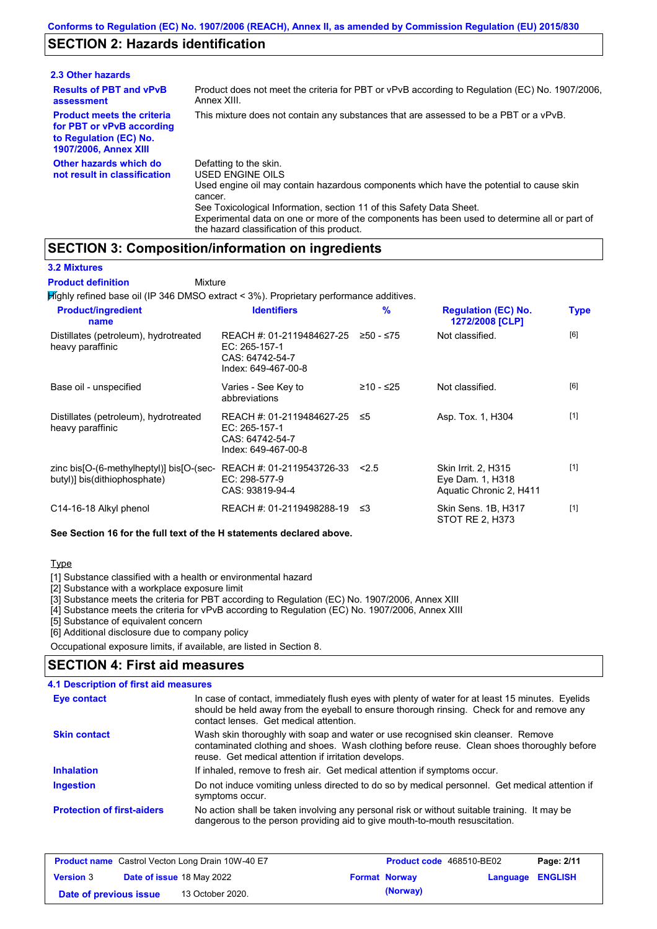### **SECTION 2: Hazards identification**

| 2.3 Other hazards                                                                                                        |                                                                                                                                                                                                                                                                                                                                                                               |
|--------------------------------------------------------------------------------------------------------------------------|-------------------------------------------------------------------------------------------------------------------------------------------------------------------------------------------------------------------------------------------------------------------------------------------------------------------------------------------------------------------------------|
| <b>Results of PBT and vPvB</b><br>assessment                                                                             | Product does not meet the criteria for PBT or vPvB according to Regulation (EC) No. 1907/2006,<br>Annex XIII.                                                                                                                                                                                                                                                                 |
| <b>Product meets the criteria</b><br>for PBT or vPvB according<br>to Regulation (EC) No.<br><b>1907/2006, Annex XIII</b> | This mixture does not contain any substances that are assessed to be a PBT or a vPvB.                                                                                                                                                                                                                                                                                         |
| Other hazards which do<br>not result in classification                                                                   | Defatting to the skin.<br><b>USED ENGINE OILS</b><br>Used engine oil may contain hazardous components which have the potential to cause skin<br>cancer.<br>See Toxicological Information, section 11 of this Safety Data Sheet.<br>Experimental data on one or more of the components has been used to determine all or part of<br>the hazard classification of this product. |

### **SECTION 3: Composition/information on ingredients**

Mixture

#### **3.2 Mixtures**

**Product definition**

**Highly refined base oil (IP 346 DMSO extract < 3%). Proprietary performance additives.** 

| <b>Product/ingredient</b><br>name                                        | <b>Identifiers</b>                                                                   | $\frac{9}{6}$ | <b>Regulation (EC) No.</b><br>1272/2008 [CLP]                      | <b>Type</b> |
|--------------------------------------------------------------------------|--------------------------------------------------------------------------------------|---------------|--------------------------------------------------------------------|-------------|
| Distillates (petroleum), hydrotreated<br>heavy paraffinic                | REACH #: 01-2119484627-25<br>EC: 265-157-1<br>CAS: 64742-54-7<br>Index: 649-467-00-8 | ≥50 - ≤75     | Not classified.                                                    | [6]         |
| Base oil - unspecified                                                   | Varies - See Key to<br>abbreviations                                                 | ≥10 - ≤25     | Not classified.                                                    | [6]         |
| Distillates (petroleum), hydrotreated<br>heavy paraffinic                | REACH #: 01-2119484627-25<br>EC: 265-157-1<br>CAS: 64742-54-7<br>Index: 649-467-00-8 | ≤5            | Asp. Tox. 1, H304                                                  | $[1]$       |
| zinc bis[O-(6-methylheptyl)] bis[O-(sec-<br>butyl)] bis(dithiophosphate) | REACH #: 01-2119543726-33<br>EC: 298-577-9<br>CAS: 93819-94-4                        | 2.5           | Skin Irrit. 2, H315<br>Eye Dam. 1, H318<br>Aquatic Chronic 2, H411 | $[1]$       |
| C14-16-18 Alkyl phenol                                                   | REACH #: 01-2119498288-19                                                            | ו≥ ≤          | Skin Sens. 1B, H317<br>STOT RE 2. H373                             | $[1]$       |

#### **See Section 16 for the full text of the H statements declared above.**

#### Type

[1] Substance classified with a health or environmental hazard

[2] Substance with a workplace exposure limit

[3] Substance meets the criteria for PBT according to Regulation (EC) No. 1907/2006, Annex XIII

[4] Substance meets the criteria for vPvB according to Regulation (EC) No. 1907/2006, Annex XIII

[5] Substance of equivalent concern

[6] Additional disclosure due to company policy

Occupational exposure limits, if available, are listed in Section 8.

### **SECTION 4: First aid measures**

#### Do not induce vomiting unless directed to do so by medical personnel. Get medical attention if symptoms occur. In case of contact, immediately flush eyes with plenty of water for at least 15 minutes. Eyelids should be held away from the eyeball to ensure thorough rinsing. Check for and remove any contact lenses. Get medical attention. **4.1 Description of first aid measures** If inhaled, remove to fresh air. Get medical attention if symptoms occur. **Ingestion Inhalation Eye contact Protection of first-aiders** No action shall be taken involving any personal risk or without suitable training. It may be dangerous to the person providing aid to give mouth-to-mouth resuscitation. **Skin contact** Wash skin thoroughly with soap and water or use recognised skin cleanser. Remove contaminated clothing and shoes. Wash clothing before reuse. Clean shoes thoroughly before reuse. Get medical attention if irritation develops.

| <b>Product name</b> Castrol Vecton Long Drain 10W-40 E7 |  |                                  | <b>Product code</b> 468510-BE02 |                      | Page: 2/11              |  |
|---------------------------------------------------------|--|----------------------------------|---------------------------------|----------------------|-------------------------|--|
| <b>Version 3</b>                                        |  | <b>Date of issue 18 May 2022</b> |                                 | <b>Format Norway</b> | <b>Language ENGLISH</b> |  |
| Date of previous issue                                  |  | 13 October 2020.                 |                                 | (Norway)             |                         |  |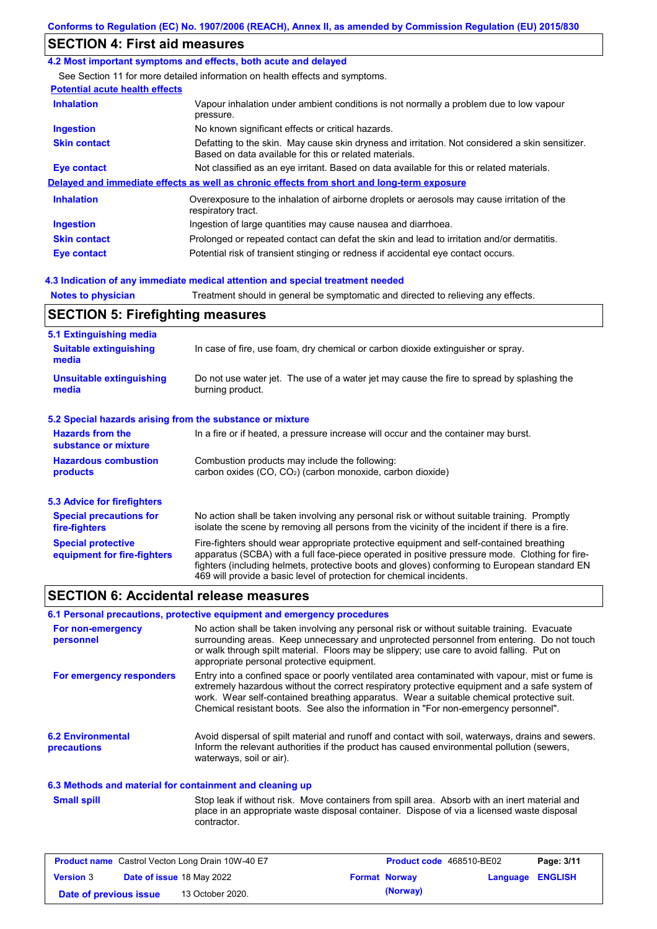## **SECTION 4: First aid measures**

#### **4.2 Most important symptoms and effects, both acute and delayed**

See Section 11 for more detailed information on health effects and symptoms.

### **Potential acute health effects**

| <b>Inhalation</b>   | Vapour inhalation under ambient conditions is not normally a problem due to low vapour<br>pressure.                                                       |
|---------------------|-----------------------------------------------------------------------------------------------------------------------------------------------------------|
| <b>Ingestion</b>    | No known significant effects or critical hazards.                                                                                                         |
| <b>Skin contact</b> | Defatting to the skin. May cause skin dryness and irritation. Not considered a skin sensitizer.<br>Based on data available for this or related materials. |
| Eye contact         | Not classified as an eye irritant. Based on data available for this or related materials.                                                                 |
|                     | Delayed and immediate effects as well as chronic effects from short and long-term exposure                                                                |
| <b>Inhalation</b>   | Overexposure to the inhalation of airborne droplets or aerosols may cause irritation of the<br>respiratory tract.                                         |
| <b>Ingestion</b>    | Ingestion of large quantities may cause nausea and diarrhoea.                                                                                             |
| <b>Skin contact</b> | Prolonged or repeated contact can defat the skin and lead to irritation and/or dermatitis.                                                                |
| <b>Eye contact</b>  | Potential risk of transient stinging or redness if accidental eye contact occurs.                                                                         |

#### **4.3 Indication of any immediate medical attention and special treatment needed**

| <b>Notes to physician</b>                                         | Treatment should in general be symptomatic and directed to relieving any effects.                              |  |  |
|-------------------------------------------------------------------|----------------------------------------------------------------------------------------------------------------|--|--|
| <b>SECTION 5: Firefighting measures</b>                           |                                                                                                                |  |  |
| 5.1 Extinguishing media<br><b>Suitable extinguishing</b><br>media | In case of fire, use foam, dry chemical or carbon dioxide extinguisher or spray.                               |  |  |
| <b>Unsuitable extinguishing</b><br>media                          | Do not use water jet. The use of a water jet may cause the fire to spread by splashing the<br>burning product. |  |  |

#### **5.2 Special hazards arising from the substance or mixture**

| <b>Hazards from the</b><br>substance or mixture | In a fire or if heated, a pressure increase will occur and the container may burst.             |
|-------------------------------------------------|-------------------------------------------------------------------------------------------------|
| <b>Hazardous combustion</b>                     | Combustion products may include the following:                                                  |
| products                                        | carbon oxides (CO, CO <sub>2</sub> ) (carbon monoxide, carbon dioxide)                          |
| <b>5.3 Advice for firefighters</b>              |                                                                                                 |
| <b>Special precautions for</b>                  | No action shall be taken involving any personal risk or without suitable training. Promptly     |
| fire-fighters                                   | isolate the scene by removing all persons from the vicinity of the incident if there is a fire. |

| <b>Special protective</b>   | Fire-fighters should wear appropriate protective equipment and self-contained breathing        |
|-----------------------------|------------------------------------------------------------------------------------------------|
| equipment for fire-fighters | apparatus (SCBA) with a full face-piece operated in positive pressure mode. Clothing for fire- |
|                             | fighters (including helmets, protective boots and gloves) conforming to European standard EN   |
|                             | 469 will provide a basic level of protection for chemical incidents.                           |

### **SECTION 6: Accidental release measures**

|                                                          | 6.1 Personal precautions, protective equipment and emergency procedures                                                                                                                                                                                                                                                                                                              |
|----------------------------------------------------------|--------------------------------------------------------------------------------------------------------------------------------------------------------------------------------------------------------------------------------------------------------------------------------------------------------------------------------------------------------------------------------------|
| For non-emergency<br>personnel                           | No action shall be taken involving any personal risk or without suitable training. Evacuate<br>surrounding areas. Keep unnecessary and unprotected personnel from entering. Do not touch<br>or walk through spilt material. Floors may be slippery; use care to avoid falling. Put on<br>appropriate personal protective equipment.                                                  |
| For emergency responders                                 | Entry into a confined space or poorly ventilated area contaminated with vapour, mist or fume is<br>extremely hazardous without the correct respiratory protective equipment and a safe system of<br>work. Wear self-contained breathing apparatus. Wear a suitable chemical protective suit.<br>Chemical resistant boots. See also the information in "For non-emergency personnel". |
| <b>6.2 Environmental</b><br>precautions                  | Avoid dispersal of spilt material and runoff and contact with soil, waterways, drains and sewers.<br>Inform the relevant authorities if the product has caused environmental pollution (sewers,<br>waterways, soil or air).                                                                                                                                                          |
| 6.3 Mothods and material for containment and cleaning up |                                                                                                                                                                                                                                                                                                                                                                                      |

#### **6.3 Methods and material for containment and cleaning up**

Stop leak if without risk. Move containers from spill area. Absorb with an inert material and place in an appropriate waste disposal container. Dispose of via a licensed waste disposal contractor. **Small spill**

| <b>Product name</b> Castrol Vecton Long Drain 10W-40 E7 |  | Product code 468510-BE02         |  | Page: 3/11           |                  |  |
|---------------------------------------------------------|--|----------------------------------|--|----------------------|------------------|--|
| <b>Version 3</b>                                        |  | <b>Date of issue 18 May 2022</b> |  | <b>Format Norway</b> | Language ENGLISH |  |
| Date of previous issue                                  |  | 13 October 2020.                 |  | (Norway)             |                  |  |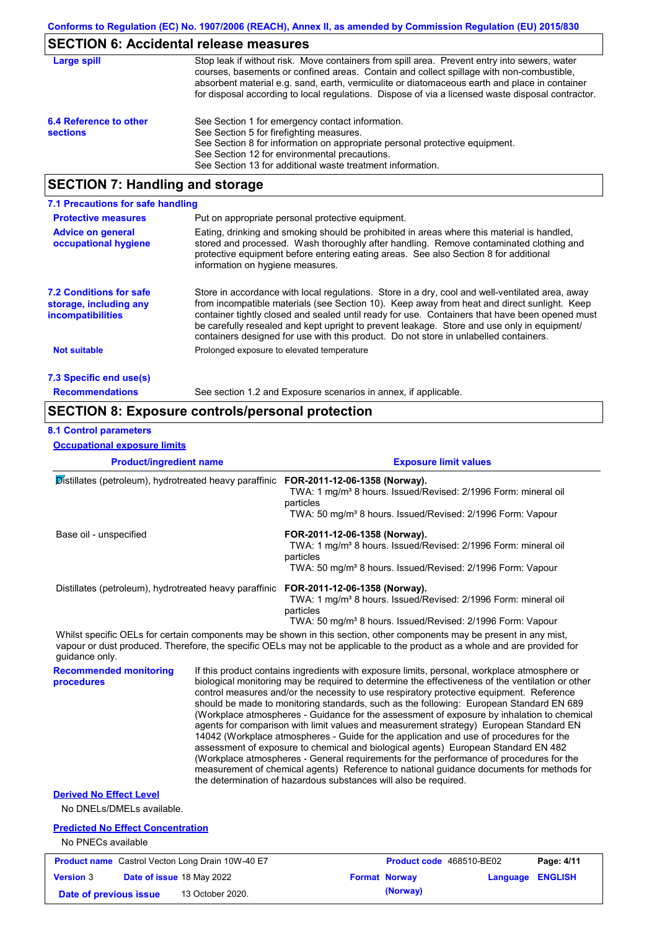## **SECTION 6: Accidental release measures**

| Large spill            | Stop leak if without risk. Move containers from spill area. Prevent entry into sewers, water<br>courses, basements or confined areas. Contain and collect spillage with non-combustible,<br>absorbent material e.g. sand, earth, vermiculite or diatomaceous earth and place in container<br>for disposal according to local regulations. Dispose of via a licensed waste disposal contractor. |
|------------------------|------------------------------------------------------------------------------------------------------------------------------------------------------------------------------------------------------------------------------------------------------------------------------------------------------------------------------------------------------------------------------------------------|
| 6.4 Reference to other | See Section 1 for emergency contact information.                                                                                                                                                                                                                                                                                                                                               |
| <b>sections</b>        | See Section 5 for firefighting measures.                                                                                                                                                                                                                                                                                                                                                       |
|                        | See Section 8 for information on appropriate personal protective equipment.                                                                                                                                                                                                                                                                                                                    |
|                        | See Section 12 for environmental precautions.                                                                                                                                                                                                                                                                                                                                                  |
|                        | See Section 13 for additional waste treatment information.                                                                                                                                                                                                                                                                                                                                     |
|                        |                                                                                                                                                                                                                                                                                                                                                                                                |

## **SECTION 7: Handling and storage**

| 7.1 Precautions for safe handling                                                    |                                                                                                                                                                                                                                                                                                                                                                                                                                                                                          |
|--------------------------------------------------------------------------------------|------------------------------------------------------------------------------------------------------------------------------------------------------------------------------------------------------------------------------------------------------------------------------------------------------------------------------------------------------------------------------------------------------------------------------------------------------------------------------------------|
| <b>Protective measures</b>                                                           | Put on appropriate personal protective equipment.                                                                                                                                                                                                                                                                                                                                                                                                                                        |
| <b>Advice on general</b><br>occupational hygiene                                     | Eating, drinking and smoking should be prohibited in areas where this material is handled,<br>stored and processed. Wash thoroughly after handling. Remove contaminated clothing and<br>protective equipment before entering eating areas. See also Section 8 for additional<br>information on hygiene measures.                                                                                                                                                                         |
| <b>7.2 Conditions for safe</b><br>storage, including any<br><b>incompatibilities</b> | Store in accordance with local regulations. Store in a dry, cool and well-ventilated area, away<br>from incompatible materials (see Section 10). Keep away from heat and direct sunlight. Keep<br>container tightly closed and sealed until ready for use. Containers that have been opened must<br>be carefully resealed and kept upright to prevent leakage. Store and use only in equipment/<br>containers designed for use with this product. Do not store in unlabelled containers. |
| <b>Not suitable</b>                                                                  | Prolonged exposure to elevated temperature                                                                                                                                                                                                                                                                                                                                                                                                                                               |
| 7.3 Specific end use(s)                                                              |                                                                                                                                                                                                                                                                                                                                                                                                                                                                                          |
| <b>Recommendations</b>                                                               | See section 1.2 and Exposure scenarios in annex, if applicable.                                                                                                                                                                                                                                                                                                                                                                                                                          |

## **SECTION 8: Exposure controls/personal protection**

### **8.1 Control parameters**

**Occupational exposure limits**

| <b>Product/ingredient name</b>                                                                                                                                                                                                                                         |                                                                                                                                                                                                                                                                                                                                                                                                                                                                                                                                                                                                                                                                                                                                                                                                                                                                                                                                                                                                                            | <b>Exposure limit values</b>                                                                                                                                                                       |                                 |          |                |  |
|------------------------------------------------------------------------------------------------------------------------------------------------------------------------------------------------------------------------------------------------------------------------|----------------------------------------------------------------------------------------------------------------------------------------------------------------------------------------------------------------------------------------------------------------------------------------------------------------------------------------------------------------------------------------------------------------------------------------------------------------------------------------------------------------------------------------------------------------------------------------------------------------------------------------------------------------------------------------------------------------------------------------------------------------------------------------------------------------------------------------------------------------------------------------------------------------------------------------------------------------------------------------------------------------------------|----------------------------------------------------------------------------------------------------------------------------------------------------------------------------------------------------|---------------------------------|----------|----------------|--|
| Distillates (petroleum), hydrotreated heavy paraffinic FOR-2011-12-06-1358 (Norway).                                                                                                                                                                                   |                                                                                                                                                                                                                                                                                                                                                                                                                                                                                                                                                                                                                                                                                                                                                                                                                                                                                                                                                                                                                            | TWA: 1 mg/m <sup>3</sup> 8 hours. Issued/Revised: 2/1996 Form: mineral oil<br>particles<br>TWA: 50 mg/m <sup>3</sup> 8 hours. Issued/Revised: 2/1996 Form: Vapour                                  |                                 |          |                |  |
| Base oil - unspecified                                                                                                                                                                                                                                                 |                                                                                                                                                                                                                                                                                                                                                                                                                                                                                                                                                                                                                                                                                                                                                                                                                                                                                                                                                                                                                            | FOR-2011-12-06-1358 (Norway).<br>TWA: 1 mg/m <sup>3</sup> 8 hours. Issued/Revised: 2/1996 Form: mineral oil<br>particles<br>TWA: 50 mg/m <sup>3</sup> 8 hours. Issued/Revised: 2/1996 Form: Vapour |                                 |          |                |  |
| Distillates (petroleum), hydrotreated heavy paraffinic FOR-2011-12-06-1358 (Norway).                                                                                                                                                                                   |                                                                                                                                                                                                                                                                                                                                                                                                                                                                                                                                                                                                                                                                                                                                                                                                                                                                                                                                                                                                                            | TWA: 1 mg/m <sup>3</sup> 8 hours. Issued/Revised: 2/1996 Form: mineral oil<br>particles<br>TWA: 50 mg/m <sup>3</sup> 8 hours. Issued/Revised: 2/1996 Form: Vapour                                  |                                 |          |                |  |
| Whilst specific OELs for certain components may be shown in this section, other components may be present in any mist,<br>vapour or dust produced. Therefore, the specific OELs may not be applicable to the product as a whole and are provided for<br>guidance only. |                                                                                                                                                                                                                                                                                                                                                                                                                                                                                                                                                                                                                                                                                                                                                                                                                                                                                                                                                                                                                            |                                                                                                                                                                                                    |                                 |          |                |  |
| <b>Recommended monitoring</b><br>procedures                                                                                                                                                                                                                            | If this product contains ingredients with exposure limits, personal, workplace atmosphere or<br>biological monitoring may be required to determine the effectiveness of the ventilation or other<br>control measures and/or the necessity to use respiratory protective equipment. Reference<br>should be made to monitoring standards, such as the following: European Standard EN 689<br>(Workplace atmospheres - Guidance for the assessment of exposure by inhalation to chemical<br>agents for comparison with limit values and measurement strategy) European Standard EN<br>14042 (Workplace atmospheres - Guide for the application and use of procedures for the<br>assessment of exposure to chemical and biological agents) European Standard EN 482<br>(Workplace atmospheres - General requirements for the performance of procedures for the<br>measurement of chemical agents) Reference to national guidance documents for methods for<br>the determination of hazardous substances will also be required. |                                                                                                                                                                                                    |                                 |          |                |  |
| <b>Derived No Effect Level</b><br>No DNELs/DMELs available.                                                                                                                                                                                                            |                                                                                                                                                                                                                                                                                                                                                                                                                                                                                                                                                                                                                                                                                                                                                                                                                                                                                                                                                                                                                            |                                                                                                                                                                                                    |                                 |          |                |  |
| <b>Predicted No Effect Concentration</b><br>No PNECs available                                                                                                                                                                                                         |                                                                                                                                                                                                                                                                                                                                                                                                                                                                                                                                                                                                                                                                                                                                                                                                                                                                                                                                                                                                                            |                                                                                                                                                                                                    |                                 |          |                |  |
| <b>Product name</b> Castrol Vecton Long Drain 10W-40 E7                                                                                                                                                                                                                |                                                                                                                                                                                                                                                                                                                                                                                                                                                                                                                                                                                                                                                                                                                                                                                                                                                                                                                                                                                                                            |                                                                                                                                                                                                    | <b>Product code</b> 468510-BE02 |          | Page: 4/11     |  |
| <b>Version 3</b><br>Date of issue 18 May 2022                                                                                                                                                                                                                          |                                                                                                                                                                                                                                                                                                                                                                                                                                                                                                                                                                                                                                                                                                                                                                                                                                                                                                                                                                                                                            |                                                                                                                                                                                                    | <b>Format Norway</b>            | Language | <b>ENGLISH</b> |  |
| Date of previous issue                                                                                                                                                                                                                                                 | 13 October 2020.                                                                                                                                                                                                                                                                                                                                                                                                                                                                                                                                                                                                                                                                                                                                                                                                                                                                                                                                                                                                           |                                                                                                                                                                                                    | (Norway)                        |          |                |  |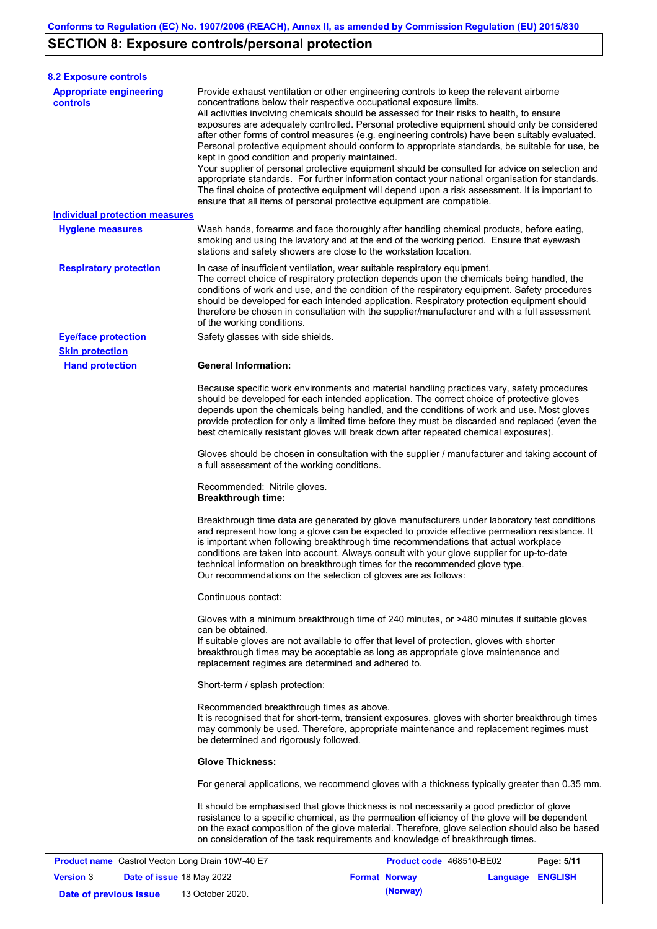# **SECTION 8: Exposure controls/personal protection**

| <b>8.2 Exposure controls</b>                            |                                                                                                                                                                                                  |                                                                                                                                                                                                                                                                                                                                                                                                                                                                                                                                                                                                                                                                                                                                                                                                     |            |
|---------------------------------------------------------|--------------------------------------------------------------------------------------------------------------------------------------------------------------------------------------------------|-----------------------------------------------------------------------------------------------------------------------------------------------------------------------------------------------------------------------------------------------------------------------------------------------------------------------------------------------------------------------------------------------------------------------------------------------------------------------------------------------------------------------------------------------------------------------------------------------------------------------------------------------------------------------------------------------------------------------------------------------------------------------------------------------------|------------|
| <b>Appropriate engineering</b><br><b>controls</b>       | concentrations below their respective occupational exposure limits.<br>kept in good condition and properly maintained.<br>ensure that all items of personal protective equipment are compatible. | Provide exhaust ventilation or other engineering controls to keep the relevant airborne<br>All activities involving chemicals should be assessed for their risks to health, to ensure<br>exposures are adequately controlled. Personal protective equipment should only be considered<br>after other forms of control measures (e.g. engineering controls) have been suitably evaluated.<br>Personal protective equipment should conform to appropriate standards, be suitable for use, be<br>Your supplier of personal protective equipment should be consulted for advice on selection and<br>appropriate standards. For further information contact your national organisation for standards.<br>The final choice of protective equipment will depend upon a risk assessment. It is important to |            |
| <b>Individual protection measures</b>                   |                                                                                                                                                                                                  |                                                                                                                                                                                                                                                                                                                                                                                                                                                                                                                                                                                                                                                                                                                                                                                                     |            |
| <b>Hygiene measures</b>                                 | stations and safety showers are close to the workstation location.                                                                                                                               | Wash hands, forearms and face thoroughly after handling chemical products, before eating,<br>smoking and using the lavatory and at the end of the working period. Ensure that eyewash                                                                                                                                                                                                                                                                                                                                                                                                                                                                                                                                                                                                               |            |
| <b>Respiratory protection</b>                           | In case of insufficient ventilation, wear suitable respiratory equipment.<br>of the working conditions.                                                                                          | The correct choice of respiratory protection depends upon the chemicals being handled, the<br>conditions of work and use, and the condition of the respiratory equipment. Safety procedures<br>should be developed for each intended application. Respiratory protection equipment should<br>therefore be chosen in consultation with the supplier/manufacturer and with a full assessment                                                                                                                                                                                                                                                                                                                                                                                                          |            |
| <b>Eye/face protection</b>                              | Safety glasses with side shields.                                                                                                                                                                |                                                                                                                                                                                                                                                                                                                                                                                                                                                                                                                                                                                                                                                                                                                                                                                                     |            |
| <b>Skin protection</b>                                  |                                                                                                                                                                                                  |                                                                                                                                                                                                                                                                                                                                                                                                                                                                                                                                                                                                                                                                                                                                                                                                     |            |
| <b>Hand protection</b>                                  | <b>General Information:</b>                                                                                                                                                                      | Because specific work environments and material handling practices vary, safety procedures<br>should be developed for each intended application. The correct choice of protective gloves<br>depends upon the chemicals being handled, and the conditions of work and use. Most gloves<br>provide protection for only a limited time before they must be discarded and replaced (even the                                                                                                                                                                                                                                                                                                                                                                                                            |            |
|                                                         | a full assessment of the working conditions.                                                                                                                                                     | best chemically resistant gloves will break down after repeated chemical exposures).<br>Gloves should be chosen in consultation with the supplier / manufacturer and taking account of                                                                                                                                                                                                                                                                                                                                                                                                                                                                                                                                                                                                              |            |
|                                                         | Recommended: Nitrile gloves.<br><b>Breakthrough time:</b>                                                                                                                                        |                                                                                                                                                                                                                                                                                                                                                                                                                                                                                                                                                                                                                                                                                                                                                                                                     |            |
|                                                         | Our recommendations on the selection of gloves are as follows:                                                                                                                                   | Breakthrough time data are generated by glove manufacturers under laboratory test conditions<br>and represent how long a glove can be expected to provide effective permeation resistance. It<br>is important when following breakthrough time recommendations that actual workplace<br>conditions are taken into account. Always consult with your glove supplier for up-to-date<br>technical information on breakthrough times for the recommended glove type.                                                                                                                                                                                                                                                                                                                                    |            |
|                                                         | Continuous contact:                                                                                                                                                                              |                                                                                                                                                                                                                                                                                                                                                                                                                                                                                                                                                                                                                                                                                                                                                                                                     |            |
|                                                         | can be obtained.<br>replacement regimes are determined and adhered to.                                                                                                                           | Gloves with a minimum breakthrough time of 240 minutes, or >480 minutes if suitable gloves<br>If suitable gloves are not available to offer that level of protection, gloves with shorter<br>breakthrough times may be acceptable as long as appropriate glove maintenance and                                                                                                                                                                                                                                                                                                                                                                                                                                                                                                                      |            |
|                                                         | Short-term / splash protection:                                                                                                                                                                  |                                                                                                                                                                                                                                                                                                                                                                                                                                                                                                                                                                                                                                                                                                                                                                                                     |            |
|                                                         | Recommended breakthrough times as above.<br>be determined and rigorously followed.                                                                                                               | It is recognised that for short-term, transient exposures, gloves with shorter breakthrough times<br>may commonly be used. Therefore, appropriate maintenance and replacement regimes must                                                                                                                                                                                                                                                                                                                                                                                                                                                                                                                                                                                                          |            |
|                                                         | <b>Glove Thickness:</b>                                                                                                                                                                          |                                                                                                                                                                                                                                                                                                                                                                                                                                                                                                                                                                                                                                                                                                                                                                                                     |            |
|                                                         |                                                                                                                                                                                                  | For general applications, we recommend gloves with a thickness typically greater than 0.35 mm.                                                                                                                                                                                                                                                                                                                                                                                                                                                                                                                                                                                                                                                                                                      |            |
|                                                         |                                                                                                                                                                                                  | It should be emphasised that glove thickness is not necessarily a good predictor of glove<br>resistance to a specific chemical, as the permeation efficiency of the glove will be dependent<br>on the exact composition of the glove material. Therefore, glove selection should also be based<br>on consideration of the task requirements and knowledge of breakthrough times.                                                                                                                                                                                                                                                                                                                                                                                                                    |            |
| <b>Product name</b> Castrol Vecton Long Drain 10W-40 E7 |                                                                                                                                                                                                  | Product code 468510-BE02                                                                                                                                                                                                                                                                                                                                                                                                                                                                                                                                                                                                                                                                                                                                                                            | Page: 5/11 |

| .                      |                                  |                  |                      |          |                  |  |
|------------------------|----------------------------------|------------------|----------------------|----------|------------------|--|
| <b>Version 3</b>       | <b>Date of issue 18 May 2022</b> |                  | <b>Format Norway</b> |          | Language ENGLISH |  |
| Date of previous issue |                                  | 13 October 2020. |                      | (Norway) |                  |  |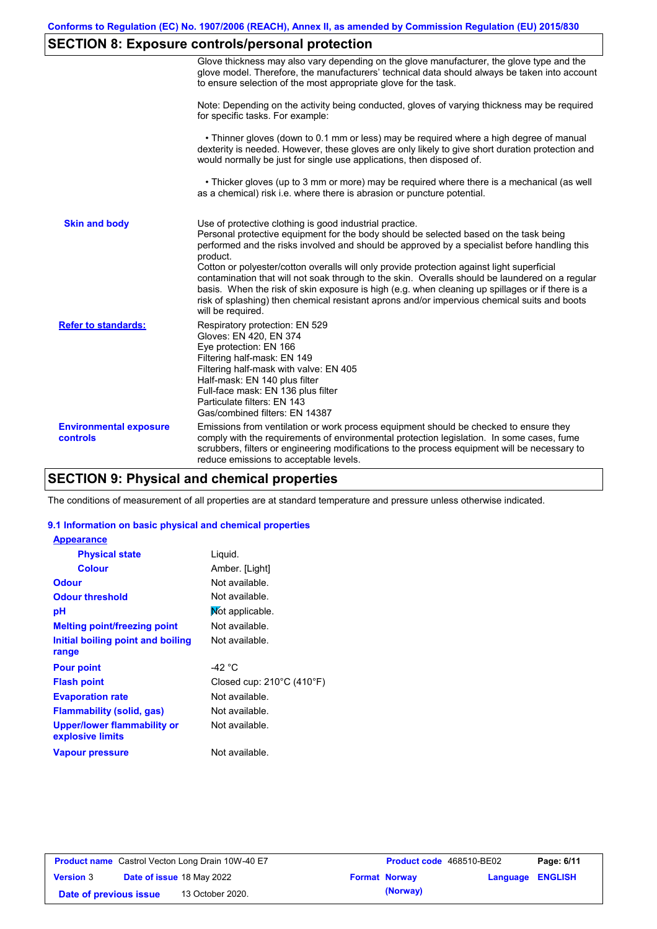# **SECTION 8: Exposure controls/personal protection**

|                                           | Glove thickness may also vary depending on the glove manufacturer, the glove type and the<br>glove model. Therefore, the manufacturers' technical data should always be taken into account<br>to ensure selection of the most appropriate glove for the task.                                                                                                                                                                                                                                                                                                                                                                                                                         |
|-------------------------------------------|---------------------------------------------------------------------------------------------------------------------------------------------------------------------------------------------------------------------------------------------------------------------------------------------------------------------------------------------------------------------------------------------------------------------------------------------------------------------------------------------------------------------------------------------------------------------------------------------------------------------------------------------------------------------------------------|
|                                           | Note: Depending on the activity being conducted, gloves of varying thickness may be required<br>for specific tasks. For example:                                                                                                                                                                                                                                                                                                                                                                                                                                                                                                                                                      |
|                                           | • Thinner gloves (down to 0.1 mm or less) may be required where a high degree of manual<br>dexterity is needed. However, these gloves are only likely to give short duration protection and<br>would normally be just for single use applications, then disposed of.                                                                                                                                                                                                                                                                                                                                                                                                                  |
|                                           | • Thicker gloves (up to 3 mm or more) may be required where there is a mechanical (as well<br>as a chemical) risk i.e. where there is abrasion or puncture potential.                                                                                                                                                                                                                                                                                                                                                                                                                                                                                                                 |
| <b>Skin and body</b>                      | Use of protective clothing is good industrial practice.<br>Personal protective equipment for the body should be selected based on the task being<br>performed and the risks involved and should be approved by a specialist before handling this<br>product.<br>Cotton or polyester/cotton overalls will only provide protection against light superficial<br>contamination that will not soak through to the skin. Overalls should be laundered on a regular<br>basis. When the risk of skin exposure is high (e.g. when cleaning up spillages or if there is a<br>risk of splashing) then chemical resistant aprons and/or impervious chemical suits and boots<br>will be required. |
| <b>Refer to standards:</b>                | Respiratory protection: EN 529<br>Gloves: EN 420, EN 374<br>Eye protection: EN 166<br>Filtering half-mask: EN 149<br>Filtering half-mask with valve: EN 405<br>Half-mask: EN 140 plus filter<br>Full-face mask: EN 136 plus filter<br>Particulate filters: EN 143<br>Gas/combined filters: EN 14387                                                                                                                                                                                                                                                                                                                                                                                   |
| <b>Environmental exposure</b><br>controls | Emissions from ventilation or work process equipment should be checked to ensure they<br>comply with the requirements of environmental protection legislation. In some cases, fume<br>scrubbers, filters or engineering modifications to the process equipment will be necessary to<br>reduce emissions to acceptable levels.                                                                                                                                                                                                                                                                                                                                                         |

## **SECTION 9: Physical and chemical properties**

The conditions of measurement of all properties are at standard temperature and pressure unless otherwise indicated.

#### **9.1 Information on basic physical and chemical properties**

| <b>Appearance</b>                               |                                     |
|-------------------------------------------------|-------------------------------------|
| <b>Physical state</b>                           | Liquid.                             |
| <b>Colour</b>                                   | Amber. [Light]                      |
| <b>Odour</b>                                    | Not available                       |
| <b>Odour threshold</b>                          | Not available.                      |
| рH                                              | Not applicable.                     |
| <b>Melting point/freezing point</b>             | Not available.                      |
| Initial boiling point and boiling               | Not available.                      |
| range                                           |                                     |
| <b>Pour point</b>                               | -42 °C                              |
| <b>Flash point</b>                              | Closed cup: $210^{\circ}$ C (410°F) |
| <b>Evaporation rate</b>                         | Not available.                      |
| <b>Flammability (solid, gas)</b>                | Not available.                      |
| Upper/lower flammability or<br>explosive limits | Not available.                      |
| <b>Vapour pressure</b>                          | Not available.                      |

|                        | <b>Product name</b> Castrol Vecton Long Drain 10W-40 E7 | <b>Product code</b> 468510-BE02 |                         | Page: 6/11 |
|------------------------|---------------------------------------------------------|---------------------------------|-------------------------|------------|
| <b>Version 3</b>       | <b>Date of issue 18 May 2022</b>                        | <b>Format Norway</b>            | <b>Language ENGLISH</b> |            |
| Date of previous issue | 13 October 2020.                                        | (Norway)                        |                         |            |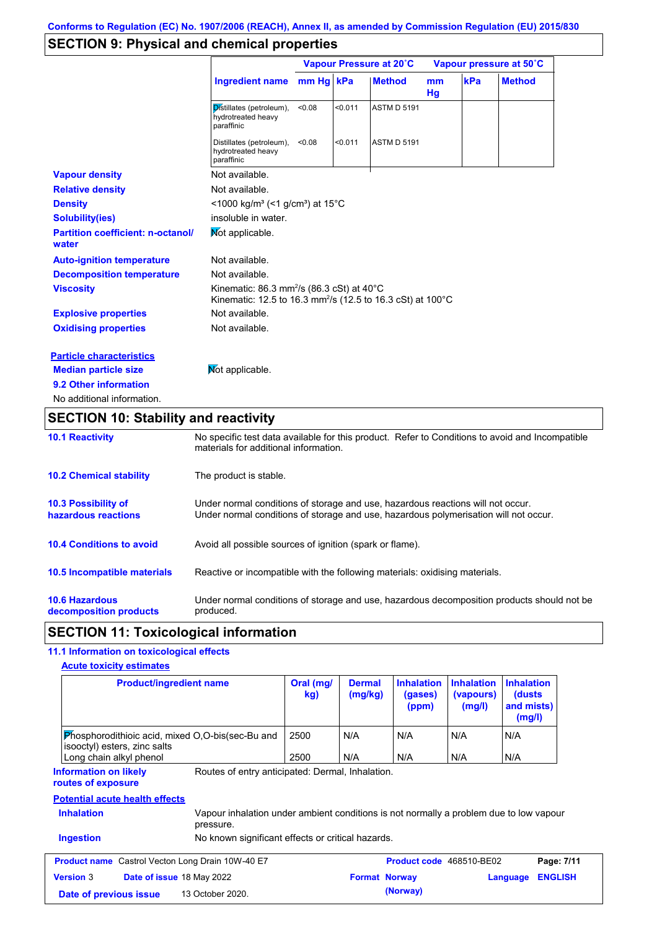## **SECTION 9: Physical and chemical properties**

|                                                   | Vapour Pressure at 20°C                                                                                                                        |           |         | Vapour pressure at 50°C |          |     |               |
|---------------------------------------------------|------------------------------------------------------------------------------------------------------------------------------------------------|-----------|---------|-------------------------|----------|-----|---------------|
|                                                   | <b>Ingredient name</b>                                                                                                                         | mm Hg kPa |         | <b>Method</b>           | mm<br>Hg | kPa | <b>Method</b> |
|                                                   | Distillates (petroleum),<br>hydrotreated heavy<br>paraffinic                                                                                   | < 0.08    | < 0.011 | <b>ASTM D 5191</b>      |          |     |               |
|                                                   | Distillates (petroleum),<br>hydrotreated heavy<br>paraffinic                                                                                   | < 0.08    | < 0.011 | <b>ASTM D 5191</b>      |          |     |               |
| <b>Vapour density</b>                             | Not available.                                                                                                                                 |           |         |                         |          |     |               |
| <b>Relative density</b>                           | Not available.                                                                                                                                 |           |         |                         |          |     |               |
| <b>Density</b>                                    | <1000 kg/m <sup>3</sup> (<1 g/cm <sup>3</sup> ) at 15 <sup>°</sup> C                                                                           |           |         |                         |          |     |               |
| <b>Solubility(ies)</b>                            | insoluble in water.                                                                                                                            |           |         |                         |          |     |               |
| <b>Partition coefficient: n-octanol/</b><br>water | Mot applicable.                                                                                                                                |           |         |                         |          |     |               |
| <b>Auto-ignition temperature</b>                  | Not available.                                                                                                                                 |           |         |                         |          |     |               |
| <b>Decomposition temperature</b>                  | Not available.                                                                                                                                 |           |         |                         |          |     |               |
| <b>Viscosity</b>                                  | Kinematic: $86.3$ mm <sup>2</sup> /s ( $86.3$ cSt) at $40^{\circ}$ C<br>Kinematic: 12.5 to 16.3 mm <sup>2</sup> /s (12.5 to 16.3 cSt) at 100°C |           |         |                         |          |     |               |
| <b>Explosive properties</b>                       | Not available.                                                                                                                                 |           |         |                         |          |     |               |
| <b>Oxidising properties</b>                       | Not available.                                                                                                                                 |           |         |                         |          |     |               |
| <b>Particle characteristics</b>                   |                                                                                                                                                |           |         |                         |          |     |               |
| <b>Median particle size</b>                       | Not applicable.                                                                                                                                |           |         |                         |          |     |               |
| 9.2 Other information                             |                                                                                                                                                |           |         |                         |          |     |               |
| No additional information.                        |                                                                                                                                                |           |         |                         |          |     |               |

## **SECTION 10: Stability and reactivity**

| <b>10.1 Reactivity</b>                            | No specific test data available for this product. Refer to Conditions to avoid and Incompatible<br>materials for additional information.                                |
|---------------------------------------------------|-------------------------------------------------------------------------------------------------------------------------------------------------------------------------|
| <b>10.2 Chemical stability</b>                    | The product is stable.                                                                                                                                                  |
| <b>10.3 Possibility of</b><br>hazardous reactions | Under normal conditions of storage and use, hazardous reactions will not occur.<br>Under normal conditions of storage and use, hazardous polymerisation will not occur. |
| <b>10.4 Conditions to avoid</b>                   | Avoid all possible sources of ignition (spark or flame).                                                                                                                |
| <b>10.5 Incompatible materials</b>                | Reactive or incompatible with the following materials: oxidising materials.                                                                                             |
| <b>10.6 Hazardous</b><br>decomposition products   | Under normal conditions of storage and use, hazardous decomposition products should not be<br>produced.                                                                 |

## **SECTION 11: Toxicological information**

### **11.1 Information on toxicological effects**

| <b>Product/ingredient name</b>                                                                                           | Oral (mg/<br>kg) | <b>Dermal</b><br>(mg/kg) | <b>Inhalation</b><br>(gases)<br>(ppm) | <b>Inhalation</b><br>(vapours)<br>(mg/l) | <b>Inhalation</b><br>(dusts)<br>and mists)<br>(mg/l) |
|--------------------------------------------------------------------------------------------------------------------------|------------------|--------------------------|---------------------------------------|------------------------------------------|------------------------------------------------------|
| Phosphorodithioic acid, mixed O,O-bis(sec-Bu and<br>isooctyl) esters, zinc salts<br>Long chain alkyl phenol              | 2500<br>2500     | N/A<br>N/A               | N/A<br>N/A                            | N/A<br>N/A                               | N/A<br>N/A                                           |
| Routes of entry anticipated: Dermal, Inhalation.<br><b>Information on likely</b><br>routes of exposure                   |                  |                          |                                       |                                          |                                                      |
| <b>Potential acute health effects</b>                                                                                    |                  |                          |                                       |                                          |                                                      |
| <b>Inhalation</b><br>Vapour inhalation under ambient conditions is not normally a problem due to low vapour<br>pressure. |                  |                          |                                       |                                          |                                                      |
| <b>Ingestion</b><br>No known significant effects or critical hazards.                                                    |                  |                          |                                       |                                          |                                                      |
| <b>Product name</b> Castrol Vecton Long Drain 10W-40 E7                                                                  |                  |                          | Product code 468510-BE02              |                                          | Page: 7/11                                           |
| <b>Version 3</b><br>Date of issue 18 May 2022                                                                            |                  | <b>Format Norway</b>     |                                       |                                          | <b>ENGLISH</b><br>Language                           |
| 13 October 2020.<br>Date of previous issue                                                                               |                  |                          | (Norway)                              |                                          |                                                      |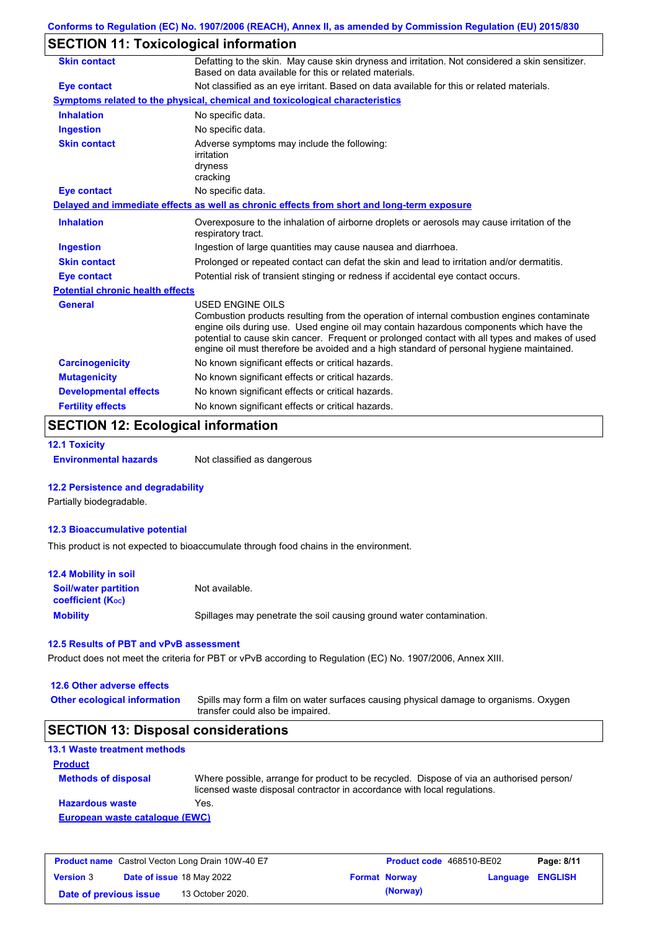## **SECTION 11: Toxicological information**

| <b>Skin contact</b>                     | Defatting to the skin. May cause skin dryness and irritation. Not considered a skin sensitizer.<br>Based on data available for this or related materials.                                                                                                                                                                                                                                                       |
|-----------------------------------------|-----------------------------------------------------------------------------------------------------------------------------------------------------------------------------------------------------------------------------------------------------------------------------------------------------------------------------------------------------------------------------------------------------------------|
| <b>Eye contact</b>                      | Not classified as an eye irritant. Based on data available for this or related materials.                                                                                                                                                                                                                                                                                                                       |
|                                         | Symptoms related to the physical, chemical and toxicological characteristics                                                                                                                                                                                                                                                                                                                                    |
| <b>Inhalation</b>                       | No specific data.                                                                                                                                                                                                                                                                                                                                                                                               |
| <b>Ingestion</b>                        | No specific data.                                                                                                                                                                                                                                                                                                                                                                                               |
| <b>Skin contact</b>                     | Adverse symptoms may include the following:<br>irritation<br>dryness<br>cracking                                                                                                                                                                                                                                                                                                                                |
| <b>Eye contact</b>                      | No specific data.                                                                                                                                                                                                                                                                                                                                                                                               |
|                                         | Delayed and immediate effects as well as chronic effects from short and long-term exposure                                                                                                                                                                                                                                                                                                                      |
| <b>Inhalation</b>                       | Overexposure to the inhalation of airborne droplets or aerosols may cause irritation of the<br>respiratory tract.                                                                                                                                                                                                                                                                                               |
| <b>Ingestion</b>                        | Ingestion of large quantities may cause nausea and diarrhoea.                                                                                                                                                                                                                                                                                                                                                   |
| <b>Skin contact</b>                     | Prolonged or repeated contact can defat the skin and lead to irritation and/or dermatitis.                                                                                                                                                                                                                                                                                                                      |
| <b>Eye contact</b>                      | Potential risk of transient stinging or redness if accidental eye contact occurs.                                                                                                                                                                                                                                                                                                                               |
| <b>Potential chronic health effects</b> |                                                                                                                                                                                                                                                                                                                                                                                                                 |
| <b>General</b>                          | <b>USED ENGINE OILS</b><br>Combustion products resulting from the operation of internal combustion engines contaminate<br>engine oils during use. Used engine oil may contain hazardous components which have the<br>potential to cause skin cancer. Frequent or prolonged contact with all types and makes of used<br>engine oil must therefore be avoided and a high standard of personal hygiene maintained. |
| <b>Carcinogenicity</b>                  | No known significant effects or critical hazards.                                                                                                                                                                                                                                                                                                                                                               |
| <b>Mutagenicity</b>                     | No known significant effects or critical hazards.                                                                                                                                                                                                                                                                                                                                                               |
| <b>Developmental effects</b>            | No known significant effects or critical hazards.                                                                                                                                                                                                                                                                                                                                                               |
| <b>Fertility effects</b>                | No known significant effects or critical hazards.                                                                                                                                                                                                                                                                                                                                                               |

## **SECTION 12: Ecological information**

**12.1 Toxicity**

**Environmental hazards** Not classified as dangerous

#### **12.2 Persistence and degradability**

Partially biodegradable.

#### **12.3 Bioaccumulative potential**

This product is not expected to bioaccumulate through food chains in the environment.

| <b>12.4 Mobility in soil</b>                                  |                                                                      |
|---------------------------------------------------------------|----------------------------------------------------------------------|
| <b>Soil/water partition</b><br>coefficient (K <sub>oc</sub> ) | Not available.                                                       |
| <b>Mobility</b>                                               | Spillages may penetrate the soil causing ground water contamination. |

#### **12.5 Results of PBT and vPvB assessment**

Product does not meet the criteria for PBT or vPvB according to Regulation (EC) No. 1907/2006, Annex XIII.

#### **12.6 Other adverse effects**

**Other ecological information**

Spills may form a film on water surfaces causing physical damage to organisms. Oxygen transfer could also be impaired.

### **SECTION 13: Disposal considerations**

| <b>13.1 Waste treatment methods</b> |                                                                                                                                                                      |
|-------------------------------------|----------------------------------------------------------------------------------------------------------------------------------------------------------------------|
| <b>Product</b>                      |                                                                                                                                                                      |
| <b>Methods of disposal</b>          | Where possible, arrange for product to be recycled. Dispose of via an authorised person/<br>licensed waste disposal contractor in accordance with local regulations. |
| <b>Hazardous waste</b>              | Yes.                                                                                                                                                                 |
| European waste catalogue (EWC)      |                                                                                                                                                                      |

| <b>Product name</b> Castrol Vecton Long Drain 10W-40 E7 |  |                                  | <b>Product code</b> 468510-BE02 | Page: 8/11           |                         |  |
|---------------------------------------------------------|--|----------------------------------|---------------------------------|----------------------|-------------------------|--|
| <b>Version 3</b>                                        |  | <b>Date of issue 18 May 2022</b> |                                 | <b>Format Norway</b> | <b>Language ENGLISH</b> |  |
| Date of previous issue                                  |  | 13 October 2020.                 |                                 | (Norway)             |                         |  |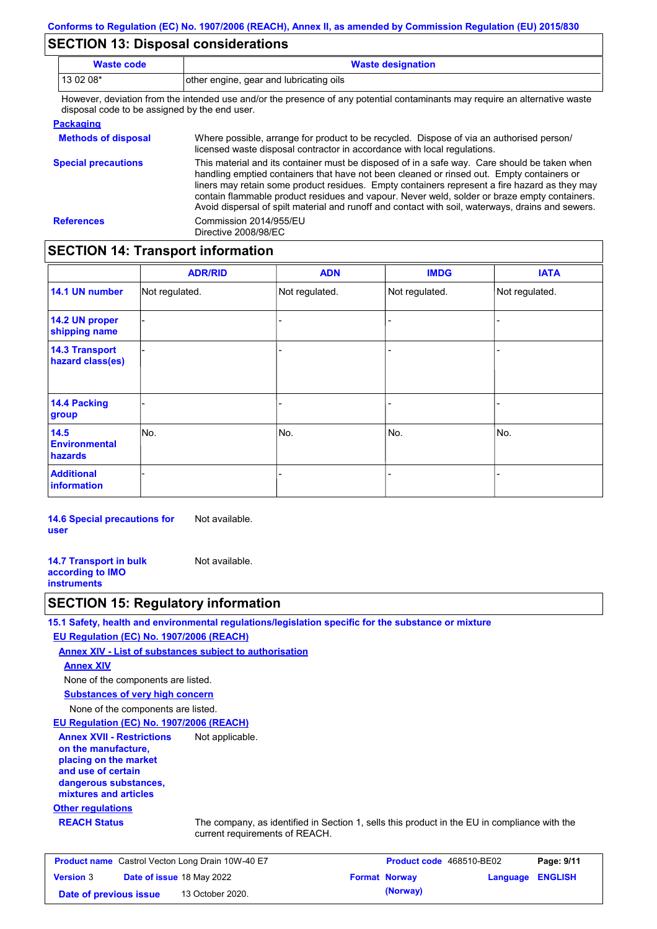## **SECTION 13: Disposal considerations**

| <b>Waste code</b> | <b>Waste designation</b>                                                                                                                            |
|-------------------|-----------------------------------------------------------------------------------------------------------------------------------------------------|
| $130208*$         | other engine, gear and lubricating oils                                                                                                             |
|                   | Thermonical collection forms that between the discussion of the contention of contentration and many manufacturers and the mathematics contribution |

However, deviation from the intended use and/or the presence of any potential contaminants may require an alternative waste disposal code to be assigned by the end user.

| <b>Packaging</b>           |                                                                                                                                                                                                                                                                                                                                                                                                                                                                                                 |
|----------------------------|-------------------------------------------------------------------------------------------------------------------------------------------------------------------------------------------------------------------------------------------------------------------------------------------------------------------------------------------------------------------------------------------------------------------------------------------------------------------------------------------------|
| <b>Methods of disposal</b> | Where possible, arrange for product to be recycled. Dispose of via an authorised person/<br>licensed waste disposal contractor in accordance with local regulations.                                                                                                                                                                                                                                                                                                                            |
| <b>Special precautions</b> | This material and its container must be disposed of in a safe way. Care should be taken when<br>handling emptied containers that have not been cleaned or rinsed out. Empty containers or<br>liners may retain some product residues. Empty containers represent a fire hazard as they may<br>contain flammable product residues and vapour. Never weld, solder or braze empty containers.<br>Avoid dispersal of spilt material and runoff and contact with soil, waterways, drains and sewers. |
| <b>References</b>          | Commission 2014/955/EU<br>Directive 2008/98/EC                                                                                                                                                                                                                                                                                                                                                                                                                                                  |

### **SECTION 14: Transport information**

|                                           | <b>ADR/RID</b> | <b>ADN</b>     | <b>IMDG</b>    | <b>IATA</b>    |
|-------------------------------------------|----------------|----------------|----------------|----------------|
| 14.1 UN number                            | Not regulated. | Not regulated. | Not regulated. | Not regulated. |
| 14.2 UN proper<br>shipping name           |                |                | Ξ.             |                |
| <b>14.3 Transport</b><br>hazard class(es) |                |                | $\blacksquare$ |                |
| <b>14.4 Packing</b><br>group              |                |                | -              |                |
| 14.5<br><b>Environmental</b><br>hazards   | No.            | No.            | No.            | No.            |
| <b>Additional</b><br><b>information</b>   |                |                |                |                |

**14.6 Special precautions for user** Not available.

**14.7 Transport in bulk according to IMO instruments** Not available.

### **SECTION 15: Regulatory information**

**15.1 Safety, health and environmental regulations/legislation specific for the substance or mixture**

**EU Regulation (EC) No. 1907/2006 (REACH)**

**Annex XIV - List of substances subject to authorisation**

**Annex XIV**

None of the components are listed.

**Substances of very high concern**

None of the components are listed.

**EU Regulation (EC) No. 1907/2006 (REACH)**

**Annex XVII - Restrictions on the manufacture, placing on the market and use of certain dangerous substances, mixtures and articles** Not applicable.

#### **Other regulations**

**REACH Status** The company, as identified in Section 1, sells this product in the EU in compliance with the current requirements of REACH.

| <b>Product name</b> Castrol Vecton Long Drain 10W-40 E7 |  |                           | <b>Product code</b> 468510-BE02 | Page: 9/11           |                         |  |
|---------------------------------------------------------|--|---------------------------|---------------------------------|----------------------|-------------------------|--|
| <b>Version 3</b>                                        |  | Date of issue 18 May 2022 |                                 | <b>Format Norway</b> | <b>Language ENGLISH</b> |  |
| Date of previous issue                                  |  | 13 October 2020.          |                                 | (Norway)             |                         |  |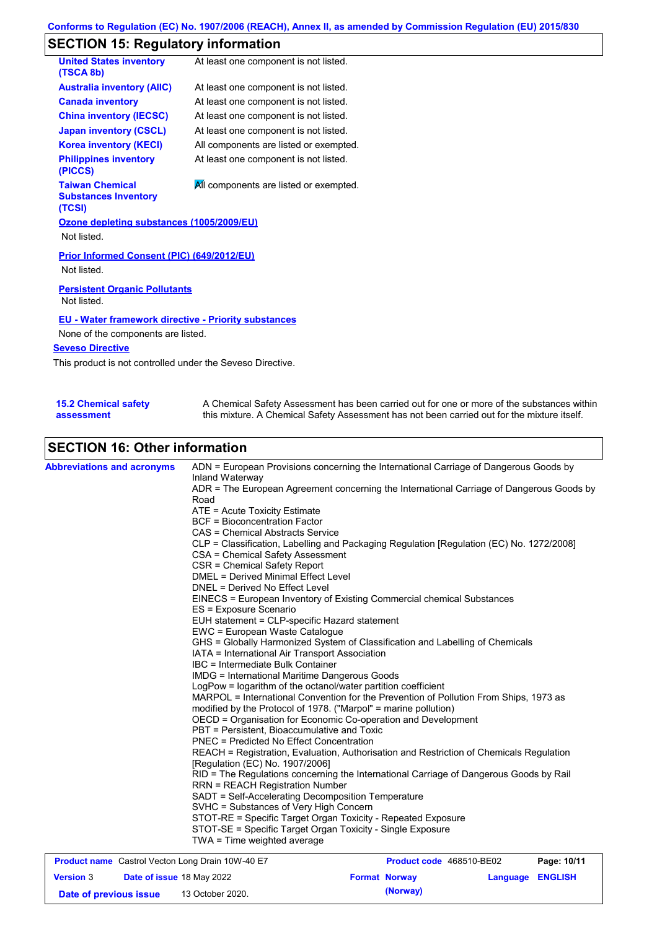# **SECTION 15: Regulatory information**

| <b>United States inventory</b><br>(TSCA 8b)                      | At least one component is not listed.  |  |  |  |  |
|------------------------------------------------------------------|----------------------------------------|--|--|--|--|
| <b>Australia inventory (AIIC)</b>                                | At least one component is not listed.  |  |  |  |  |
| <b>Canada inventory</b>                                          | At least one component is not listed.  |  |  |  |  |
| <b>China inventory (IECSC)</b>                                   | At least one component is not listed.  |  |  |  |  |
| <b>Japan inventory (CSCL)</b>                                    | At least one component is not listed.  |  |  |  |  |
| <b>Korea inventory (KECI)</b>                                    | All components are listed or exempted. |  |  |  |  |
| <b>Philippines inventory</b><br>(PICCS)                          | At least one component is not listed.  |  |  |  |  |
| <b>Taiwan Chemical</b><br><b>Substances Inventory</b><br>(TCSI)  | All components are listed or exempted. |  |  |  |  |
| Ozone depleting substances (1005/2009/EU)<br>Not listed.         |                                        |  |  |  |  |
| <b>Prior Informed Consent (PIC) (649/2012/EU)</b><br>Not listed. |                                        |  |  |  |  |
| <b>Persistent Organic Pollutants</b><br>Not listed.              |                                        |  |  |  |  |
| <b>EU - Water framework directive - Priority substances</b>      |                                        |  |  |  |  |
| None of the components are listed.                               |                                        |  |  |  |  |
| <b>Seveso Directive</b>                                          |                                        |  |  |  |  |
| This product is not controlled under the Seveso Directive.       |                                        |  |  |  |  |

| 15.2 Chemical safety | A Chemical Safety Assessment has been carried out for one or more of the substances within  |
|----------------------|---------------------------------------------------------------------------------------------|
| assessment           | this mixture. A Chemical Safety Assessment has not been carried out for the mixture itself. |

## **SECTION 16: Other information**

| <b>Abbreviations and acronyms</b> | ADN = European Provisions concerning the International Carriage of Dangerous Goods by<br>Inland Waterway<br>ADR = The European Agreement concerning the International Carriage of Dangerous Goods by<br>Road<br>ATE = Acute Toxicity Estimate<br><b>BCF</b> = Bioconcentration Factor<br>CAS = Chemical Abstracts Service<br>CLP = Classification, Labelling and Packaging Regulation [Regulation (EC) No. 1272/2008]<br>CSA = Chemical Safety Assessment<br>CSR = Chemical Safety Report<br><b>DMEL = Derived Minimal Effect Level</b><br>DNEL = Derived No Effect Level<br>EINECS = European Inventory of Existing Commercial chemical Substances<br>ES = Exposure Scenario<br>EUH statement = CLP-specific Hazard statement<br>EWC = European Waste Catalogue<br>GHS = Globally Harmonized System of Classification and Labelling of Chemicals<br>IATA = International Air Transport Association<br>IBC = Intermediate Bulk Container<br><b>IMDG</b> = International Maritime Dangerous Goods<br>LogPow = logarithm of the octanol/water partition coefficient<br>MARPOL = International Convention for the Prevention of Pollution From Ships, 1973 as<br>modified by the Protocol of 1978. ("Marpol" = marine pollution)<br>OECD = Organisation for Economic Co-operation and Development<br>PBT = Persistent, Bioaccumulative and Toxic<br><b>PNEC</b> = Predicted No Effect Concentration<br>REACH = Registration, Evaluation, Authorisation and Restriction of Chemicals Regulation<br>[Regulation (EC) No. 1907/2006]<br>RID = The Regulations concerning the International Carriage of Dangerous Goods by Rail<br><b>RRN = REACH Registration Number</b><br>SADT = Self-Accelerating Decomposition Temperature<br>SVHC = Substances of Very High Concern<br>STOT-RE = Specific Target Organ Toxicity - Repeated Exposure<br>STOT-SE = Specific Target Organ Toxicity - Single Exposure<br>TWA = Time weighted average |
|-----------------------------------|---------------------------------------------------------------------------------------------------------------------------------------------------------------------------------------------------------------------------------------------------------------------------------------------------------------------------------------------------------------------------------------------------------------------------------------------------------------------------------------------------------------------------------------------------------------------------------------------------------------------------------------------------------------------------------------------------------------------------------------------------------------------------------------------------------------------------------------------------------------------------------------------------------------------------------------------------------------------------------------------------------------------------------------------------------------------------------------------------------------------------------------------------------------------------------------------------------------------------------------------------------------------------------------------------------------------------------------------------------------------------------------------------------------------------------------------------------------------------------------------------------------------------------------------------------------------------------------------------------------------------------------------------------------------------------------------------------------------------------------------------------------------------------------------------------------------------------------------------------------------------------------------------------------------------------|
|                                   |                                                                                                                                                                                                                                                                                                                                                                                                                                                                                                                                                                                                                                                                                                                                                                                                                                                                                                                                                                                                                                                                                                                                                                                                                                                                                                                                                                                                                                                                                                                                                                                                                                                                                                                                                                                                                                                                                                                                 |

| <b>Product name</b> Castrol Vecton Long Drain 10W-40 E7 |  |                                  | <b>Product code</b> 468510-BE02 | Page: 10/11          |                         |  |
|---------------------------------------------------------|--|----------------------------------|---------------------------------|----------------------|-------------------------|--|
| <b>Version 3</b>                                        |  | <b>Date of issue 18 May 2022</b> |                                 | <b>Format Norway</b> | <b>Language ENGLISH</b> |  |
| Date of previous issue                                  |  | 13 October 2020.                 |                                 | (Norway)             |                         |  |